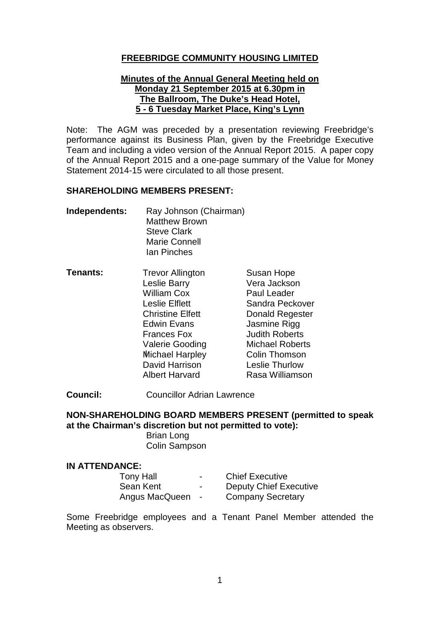# **FREEBRIDGE COMMUNITY HOUSING LIMITED**

### **Minutes of the Annual General Meeting held on Monday 21 September 2015 at 6.30pm in The Ballroom, The Duke's Head Hotel, 5 - 6 Tuesday Market Place, King's Lynn**

Note: The AGM was preceded by a presentation reviewing Freebridge's performance against its Business Plan, given by the Freebridge Executive Team and including a video version of the Annual Report 2015. A paper copy of the Annual Report 2015 and a one-page summary of the Value for Money Statement 2014-15 were circulated to all those present.

### **SHAREHOLDING MEMBERS PRESENT:**

| Independents: | Ray Johnson (Chairman) |
|---------------|------------------------|
|               | <b>Matthew Brown</b>   |
|               | <b>Steve Clark</b>     |
|               | Marie Connell          |
|               | Ian Pinches            |

| Tenants: | <b>Trevor Allington</b> | Susan Hope             |
|----------|-------------------------|------------------------|
|          | Leslie Barry            | Vera Jackson           |
|          | <b>William Cox</b>      | Paul Leader            |
|          | <b>Leslie Elflett</b>   | Sandra Peckover        |
|          | <b>Christine Elfett</b> | <b>Donald Regester</b> |
|          | <b>Edwin Evans</b>      | Jasmine Rigg           |
|          | <b>Frances Fox</b>      | <b>Judith Roberts</b>  |
|          | <b>Valerie Gooding</b>  | <b>Michael Roberts</b> |
|          | <b>Michael Harpley</b>  | <b>Colin Thomson</b>   |
|          | David Harrison          | <b>Leslie Thurlow</b>  |
|          | <b>Albert Harvard</b>   | Rasa Williamson        |

**Council:** Councillor Adrian Lawrence

**NON-SHAREHOLDING BOARD MEMBERS PRESENT (permitted to speak at the Chairman's discretion but not permitted to vote):**

Brian Long Colin Sampson

### **IN ATTENDANCE:**

| Tony Hall      | -                        | <b>Chief Executive</b>        |
|----------------|--------------------------|-------------------------------|
| Sean Kent      | $\overline{\phantom{0}}$ | <b>Deputy Chief Executive</b> |
| Angus MacQueen | $\sim$                   | <b>Company Secretary</b>      |

Some Freebridge employees and a Tenant Panel Member attended the Meeting as observers.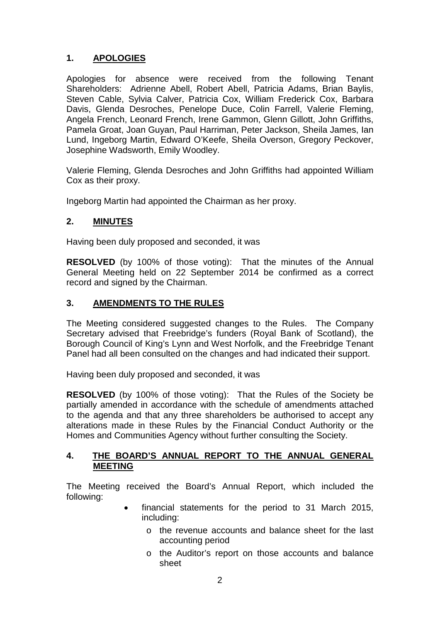# **1. APOLOGIES**

Apologies for absence were received from the following Tenant Shareholders: Adrienne Abell, Robert Abell, Patricia Adams, Brian Baylis, Steven Cable, Sylvia Calver, Patricia Cox, William Frederick Cox, Barbara Davis, Glenda Desroches, Penelope Duce, Colin Farrell, Valerie Fleming, Angela French, Leonard French, Irene Gammon, Glenn Gillott, John Griffiths, Pamela Groat, Joan Guyan, Paul Harriman, Peter Jackson, Sheila James, Ian Lund, Ingeborg Martin, Edward O'Keefe, Sheila Overson, Gregory Peckover, Josephine Wadsworth, Emily Woodley.

Valerie Fleming, Glenda Desroches and John Griffiths had appointed William Cox as their proxy.

Ingeborg Martin had appointed the Chairman as her proxy.

# **2. MINUTES**

Having been duly proposed and seconded, it was

**RESOLVED** (by 100% of those voting):That the minutes of the Annual General Meeting held on 22 September 2014 be confirmed as a correct record and signed by the Chairman.

# **3. AMENDMENTS TO THE RULES**

The Meeting considered suggested changes to the Rules. The Company Secretary advised that Freebridge's funders (Royal Bank of Scotland), the Borough Council of King's Lynn and West Norfolk, and the Freebridge Tenant Panel had all been consulted on the changes and had indicated their support.

Having been duly proposed and seconded, it was

**RESOLVED** (by 100% of those voting): That the Rules of the Society be partially amended in accordance with the schedule of amendments attached to the agenda and that any three shareholders be authorised to accept any alterations made in these Rules by the Financial Conduct Authority or the Homes and Communities Agency without further consulting the Society.

## **4. THE BOARD'S ANNUAL REPORT TO THE ANNUAL GENERAL MEETING**

The Meeting received the Board's Annual Report, which included the following:

- financial statements for the period to 31 March 2015, including:
	- o the revenue accounts and balance sheet for the last accounting period
	- o the Auditor's report on those accounts and balance sheet